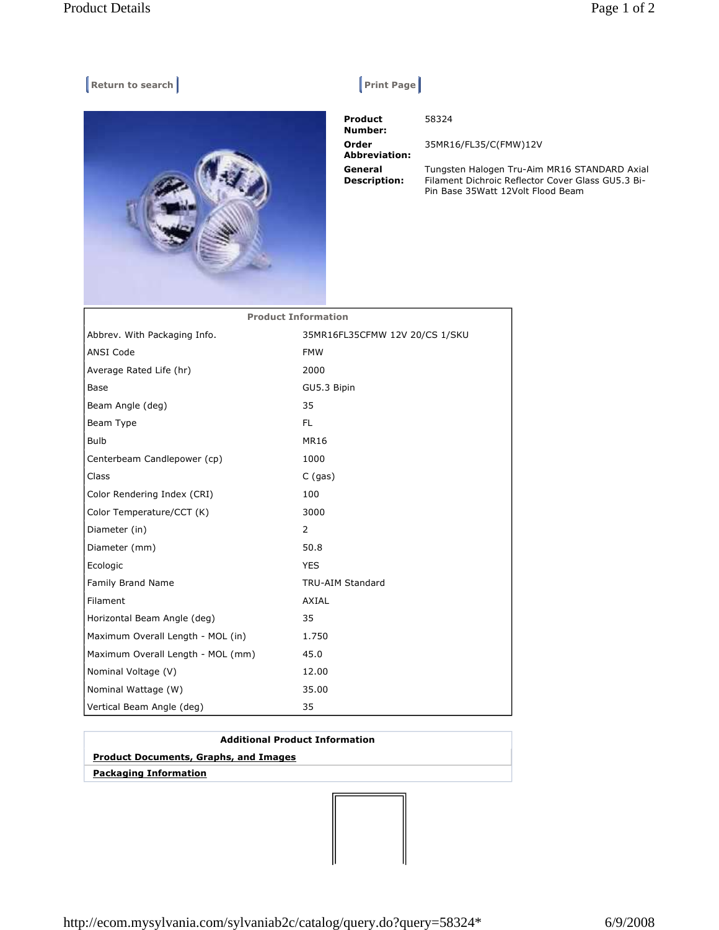## **Return to search Return Construction Construction Construction Print Page |**



 **Product Number: Order Abbreviation: General Description:** 

58324

35MR16/FL35/C(FMW)12V

Tungsten Halogen Tru-Aim MR16 STANDARD Axial Filament Dichroic Reflector Cover Glass GU5.3 Bi-Pin Base 35Watt 12Volt Flood Beam

| <b>Product Information</b>        |                                |
|-----------------------------------|--------------------------------|
| Abbrev. With Packaging Info.      | 35MR16FL35CFMW 12V 20/CS 1/SKU |
| <b>ANSI Code</b>                  | <b>FMW</b>                     |
| Average Rated Life (hr)           | 2000                           |
| Base                              | GU5.3 Bipin                    |
| Beam Angle (deg)                  | 35                             |
| Beam Type                         | FL.                            |
| <b>Bulb</b>                       | <b>MR16</b>                    |
| Centerbeam Candlepower (cp)       | 1000                           |
| Class                             | $C$ (gas)                      |
| Color Rendering Index (CRI)       | 100                            |
| Color Temperature/CCT (K)         | 3000                           |
| Diameter (in)                     | 2                              |
| Diameter (mm)                     | 50.8                           |
| Ecologic                          | <b>YES</b>                     |
| Family Brand Name                 | <b>TRU-AIM Standard</b>        |
| Filament                          | AXIAL                          |
| Horizontal Beam Angle (deg)       | 35                             |
| Maximum Overall Length - MOL (in) | 1.750                          |
| Maximum Overall Length - MOL (mm) | 45.0                           |
| Nominal Voltage (V)               | 12.00                          |
| Nominal Wattage (W)               | 35.00                          |
| Vertical Beam Angle (deg)         | 35                             |

## **Additional Product Information Product Documents, Graphs, and Images**

 **Packaging Information**